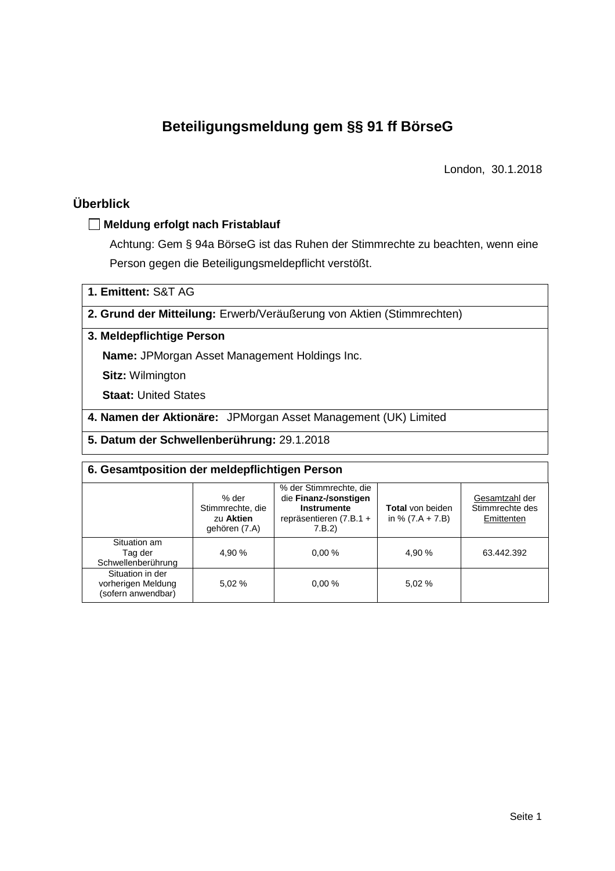# **Beteiligungsmeldung gem §§ 91 ff BörseG**

London, 30.1.2018

## **Überblick**

### **Meldung erfolgt nach Fristablauf**

Achtung: Gem § 94a BörseG ist das Ruhen der Stimmrechte zu beachten, wenn eine Person gegen die Beteiligungsmeldepflicht verstößt.

**1. Emittent:** S&T AG

### **2. Grund der Mitteilung:** Erwerb/Veräußerung von Aktien (Stimmrechten)

### **3. Meldepflichtige Person**

**Name:** JPMorgan Asset Management Holdings Inc.

**Sitz:** Wilmington

**Staat:** United States

**4. Namen der Aktionäre:** JPMorgan Asset Management (UK) Limited

**5. Datum der Schwellenberührung:** 29.1.2018

| 6. Gesamtposition der meldepflichtigen Person                |                                                         |                                                                                                     |                                               |                                                 |  |  |  |  |
|--------------------------------------------------------------|---------------------------------------------------------|-----------------------------------------------------------------------------------------------------|-----------------------------------------------|-------------------------------------------------|--|--|--|--|
|                                                              | % der<br>Stimmrechte, die<br>zu Aktien<br>gehören (7.A) | % der Stimmrechte, die<br>die Finanz-/sonstigen<br>Instrumente<br>repräsentieren (7.B.1 +<br>7.B.2) | <b>Total</b> von beiden<br>in % $(7.A + 7.B)$ | Gesamtzahl der<br>Stimmrechte des<br>Emittenten |  |  |  |  |
| Situation am<br>Tag der<br>Schwellenberührung                | 4.90 %                                                  | 0.00%                                                                                               | 4.90 %                                        | 63.442.392                                      |  |  |  |  |
| Situation in der<br>vorherigen Meldung<br>(sofern anwendbar) | 5,02 %                                                  | 0.00%                                                                                               | 5.02 %                                        |                                                 |  |  |  |  |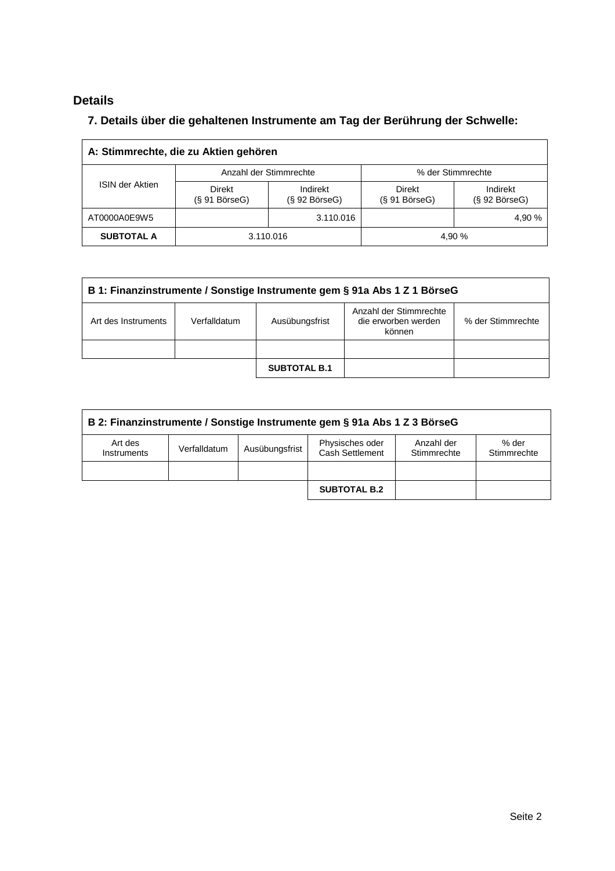## **Details**

## **7. Details über die gehaltenen Instrumente am Tag der Berührung der Schwelle:**

| A: Stimmrechte, die zu Aktien gehören |                               |                                 |                                  |                                 |  |  |  |
|---------------------------------------|-------------------------------|---------------------------------|----------------------------------|---------------------------------|--|--|--|
|                                       | Anzahl der Stimmrechte        |                                 | % der Stimmrechte                |                                 |  |  |  |
| <b>ISIN der Aktien</b>                | Direkt<br>$(S 91 B$ örse $G)$ | Indirekt<br>$(S 92 B$ örse $G)$ | Direkt<br>$(S 91 B\ddot{o}rseG)$ | Indirekt<br>$(S 92 B$ örse $G)$ |  |  |  |
| AT0000A0E9W5                          |                               | 3.110.016                       |                                  | 4,90 %                          |  |  |  |
| <b>SUBTOTAL A</b>                     | 3.110.016<br>4,90 %           |                                 |                                  |                                 |  |  |  |

| B 1: Finanzinstrumente / Sonstige Instrumente gem § 91a Abs 1 Z 1 BörseG |                                                                                                                |                     |  |  |  |  |
|--------------------------------------------------------------------------|----------------------------------------------------------------------------------------------------------------|---------------------|--|--|--|--|
| Art des Instruments                                                      | Anzahl der Stimmrechte<br>die erworben werden<br>% der Stimmrechte<br>Verfalldatum<br>Ausübungsfrist<br>können |                     |  |  |  |  |
|                                                                          |                                                                                                                |                     |  |  |  |  |
|                                                                          |                                                                                                                | <b>SUBTOTAL B.1</b> |  |  |  |  |

| B 2: Finanzinstrumente / Sonstige Instrumente gem § 91a Abs 1 Z 3 BörseG |              |                |                                    |                           |                      |  |  |  |
|--------------------------------------------------------------------------|--------------|----------------|------------------------------------|---------------------------|----------------------|--|--|--|
| Art des<br>Instruments                                                   | Verfalldatum | Ausübungsfrist | Physisches oder<br>Cash Settlement | Anzahl der<br>Stimmrechte | % der<br>Stimmrechte |  |  |  |
|                                                                          |              |                |                                    |                           |                      |  |  |  |
|                                                                          |              |                | <b>SUBTOTAL B.2</b>                |                           |                      |  |  |  |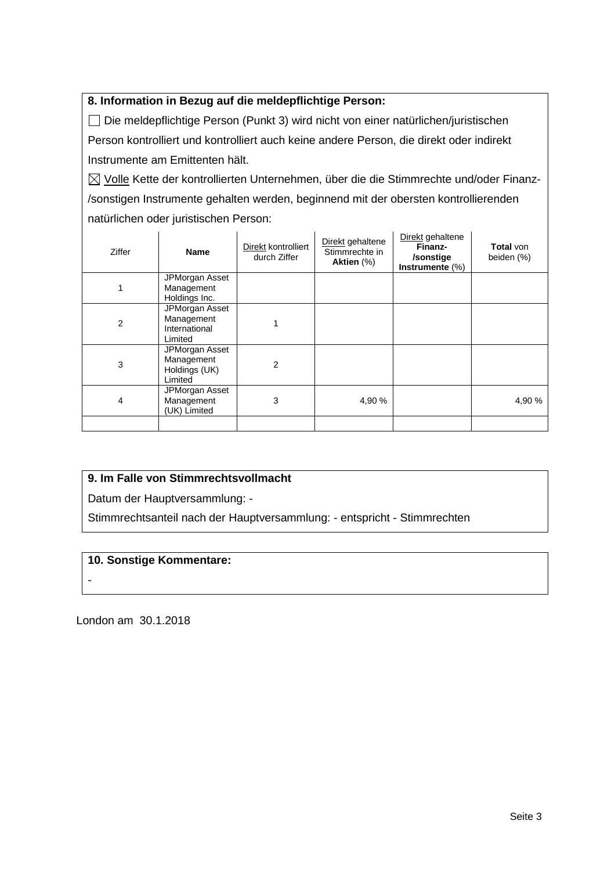## **8. Information in Bezug auf die meldepflichtige Person:**

 Die meldepflichtige Person (Punkt 3) wird nicht von einer natürlichen/juristischen Person kontrolliert und kontrolliert auch keine andere Person, die direkt oder indirekt Instrumente am Emittenten hält.

 $\boxtimes$  Volle Kette der kontrollierten Unternehmen, über die die Stimmrechte und/oder Finanz-/sonstigen Instrumente gehalten werden, beginnend mit der obersten kontrollierenden natürlichen oder juristischen Person:

| Ziffer | <b>Name</b>                                              | Direkt kontrolliert<br>durch Ziffer | Direkt gehaltene<br>Stimmrechte in<br>Aktien (%) | Direkt gehaltene<br>Finanz-<br>/sonstige<br>Instrumente (%) | <b>Total</b> von<br>beiden (%) |
|--------|----------------------------------------------------------|-------------------------------------|--------------------------------------------------|-------------------------------------------------------------|--------------------------------|
|        | JPMorgan Asset<br>Management<br>Holdings Inc.            |                                     |                                                  |                                                             |                                |
| 2      | JPMorgan Asset<br>Management<br>International<br>Limited |                                     |                                                  |                                                             |                                |
| 3      | JPMorgan Asset<br>Management<br>Holdings (UK)<br>Limited | $\overline{2}$                      |                                                  |                                                             |                                |
| 4      | JPMorgan Asset<br>Management<br>(UK) Limited             | 3                                   | 4,90 %                                           |                                                             | 4,90 %                         |
|        |                                                          |                                     |                                                  |                                                             |                                |

## **9. Im Falle von Stimmrechtsvollmacht**

Datum der Hauptversammlung: -

Stimmrechtsanteil nach der Hauptversammlung: - entspricht - Stimmrechten

#### **10. Sonstige Kommentare:**

-

London am 30.1.2018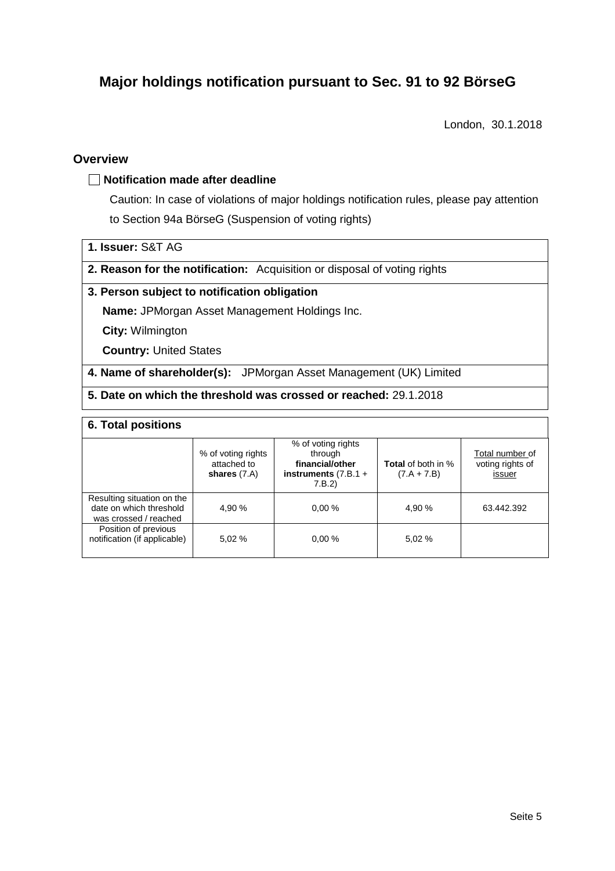# **Major holdings notification pursuant to Sec. 91 to 92 BörseG**

London, 30.1.2018

### **Overview**

#### **Notification made after deadline**

Caution: In case of violations of major holdings notification rules, please pay attention to Section 94a BörseG (Suspension of voting rights)

#### **1. Issuer:** S&T AG

**2. Reason for the notification:** Acquisition or disposal of voting rights

#### **3. Person subject to notification obligation**

**Name:** JPMorgan Asset Management Holdings Inc.

**City:** Wilmington

**Country:** United States

**4. Name of shareholder(s):** JPMorgan Asset Management (UK) Limited

## **5. Date on which the threshold was crossed or reached:** 29.1.2018

#### **6. Total positions**

|                                                                                | % of voting rights<br>attached to<br>shares $(7.A)$ | % of voting rights<br>through<br>financial/other<br>instruments $(7.B.1 +$<br>7.B.2 | <b>Total</b> of both in %<br>$(7.A + 7.B)$ | Total number of<br>voting rights of<br>issuer |
|--------------------------------------------------------------------------------|-----------------------------------------------------|-------------------------------------------------------------------------------------|--------------------------------------------|-----------------------------------------------|
| Resulting situation on the<br>date on which threshold<br>was crossed / reached | 4.90 %                                              | 0.00%                                                                               | 4,90 %                                     | 63.442.392                                    |
| Position of previous<br>notification (if applicable)                           | 5,02 %                                              | 0.00%                                                                               | 5.02%                                      |                                               |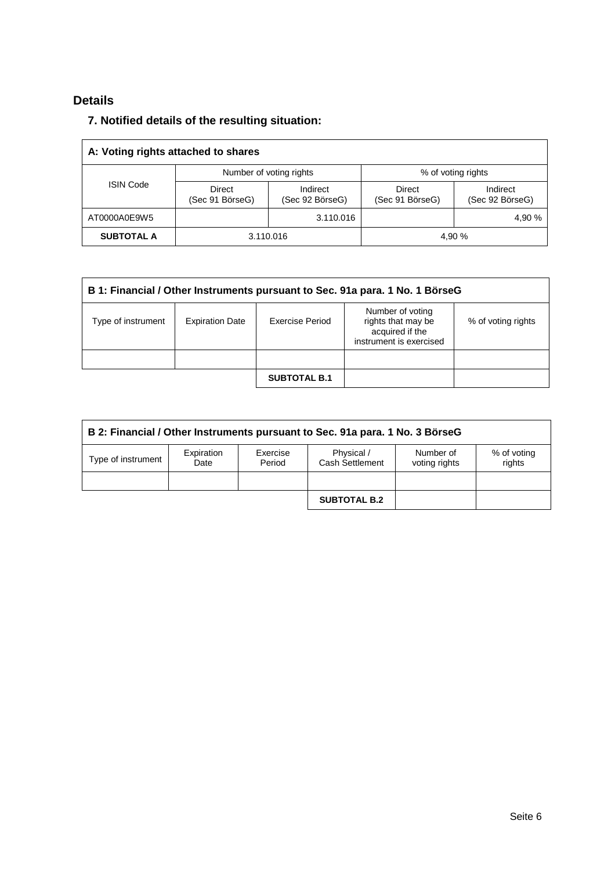## **Details**

## **7. Notified details of the resulting situation:**

| A: Voting rights attached to shares |                                  |                             |                           |                             |  |  |  |
|-------------------------------------|----------------------------------|-----------------------------|---------------------------|-----------------------------|--|--|--|
| <b>ISIN Code</b>                    |                                  | Number of voting rights     | % of voting rights        |                             |  |  |  |
|                                     | <b>Direct</b><br>(Sec 91 BörseG) | Indirect<br>(Sec 92 BörseG) | Direct<br>(Sec 91 BörseG) | Indirect<br>(Sec 92 BörseG) |  |  |  |
| AT0000A0E9W5                        |                                  | 3.110.016                   |                           | 4,90 %                      |  |  |  |
| <b>SUBTOTAL A</b>                   |                                  | 3.110.016                   |                           | 4.90 %                      |  |  |  |

| B 1: Financial / Other Instruments pursuant to Sec. 91a para. 1 No. 1 BörseG |                        |                     |                                                                                      |                    |  |  |
|------------------------------------------------------------------------------|------------------------|---------------------|--------------------------------------------------------------------------------------|--------------------|--|--|
| Type of instrument                                                           | <b>Expiration Date</b> | Exercise Period     | Number of voting<br>rights that may be<br>acquired if the<br>instrument is exercised | % of voting rights |  |  |
|                                                                              |                        |                     |                                                                                      |                    |  |  |
|                                                                              |                        | <b>SUBTOTAL B.1</b> |                                                                                      |                    |  |  |

| B 2: Financial / Other Instruments pursuant to Sec. 91a para. 1 No. 3 BörseG |                    |                    |                               |                            |                       |  |  |
|------------------------------------------------------------------------------|--------------------|--------------------|-------------------------------|----------------------------|-----------------------|--|--|
| Type of instrument                                                           | Expiration<br>Date | Exercise<br>Period | Physical /<br>Cash Settlement | Number of<br>voting rights | % of voting<br>rights |  |  |
|                                                                              |                    |                    |                               |                            |                       |  |  |
|                                                                              |                    |                    | <b>SUBTOTAL B.2</b>           |                            |                       |  |  |